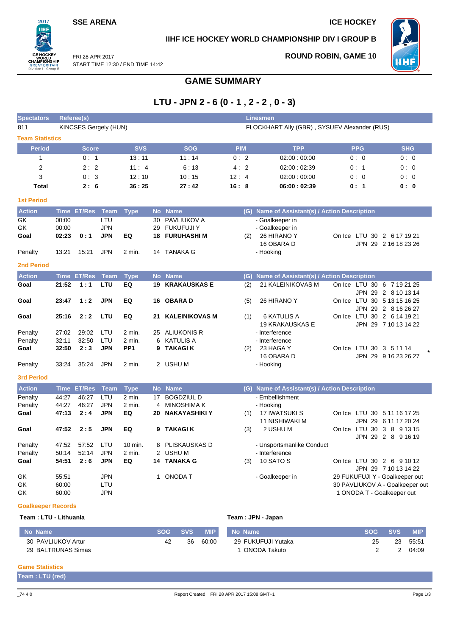### **SSE ARENA ICE HOCKEY**

 $2017$ пні

### **IIHF ICE HOCKEY WORLD CHAMPIONSHIP DIV I GROUP B**



FRI 28 APR 2017 START TIME 12:30 / END TIME 14:42 **ROUND ROBIN, GAME 10**

# **GAME SUMMARY**

# **LTU - JPN 2 - 6 (0 - 1 , 2 - 2 , 0 - 3)**

| <b>Spectators</b>         | <b>Linesmen</b><br><b>Referee(s)</b> |                              |             |                 |              |                       |            |  |                                               |  |            |                                 |
|---------------------------|--------------------------------------|------------------------------|-------------|-----------------|--------------|-----------------------|------------|--|-----------------------------------------------|--|------------|---------------------------------|
| 811                       |                                      | <b>KINCSES Gergely (HUN)</b> |             |                 |              |                       |            |  | FLOCKHART Ally (GBR), SYSUEV Alexander (RUS)  |  |            |                                 |
| <b>Team Statistics</b>    |                                      |                              |             |                 |              |                       |            |  |                                               |  |            |                                 |
| <b>Period</b>             |                                      | <b>Score</b>                 |             | <b>SVS</b>      |              | <b>SOG</b>            | <b>PIM</b> |  | <b>TPP</b>                                    |  | <b>PPG</b> | <b>SHG</b>                      |
| $\mathbf{1}$              |                                      | 0:1                          |             | 13:11           |              | 11:14                 | 0:2        |  | 02:00:00:00                                   |  | 0:0        | 0:0                             |
| $\overline{2}$            |                                      | 2:2                          |             | 11:4            |              | 6:13                  | 4:2        |  | 02:00:02:39                                   |  | 0:1        | 0:0                             |
| 3                         |                                      | 0:3                          |             | 12:10           |              | 10:15                 | 12:4       |  | 02:00:00:00                                   |  | 0:0        | 0:0                             |
| <b>Total</b>              |                                      | 2:6                          |             | 36:25           |              | 27:42                 | 16:8       |  | 06:00:02:39                                   |  | 0: 1       | 0: 0                            |
|                           |                                      |                              |             |                 |              |                       |            |  |                                               |  |            |                                 |
| <b>1st Period</b>         |                                      |                              |             |                 |              |                       |            |  |                                               |  |            |                                 |
| <b>Action</b>             | <b>Time</b>                          | <b>ET/Res</b>                | <b>Team</b> | <b>Type</b>     | <b>No</b>    | <b>Name</b>           |            |  | (G) Name of Assistant(s) / Action Description |  |            |                                 |
| GK                        | 00:00                                |                              | LTU         |                 | 30           | PAVLIUKOV A           |            |  | - Goalkeeper in                               |  |            |                                 |
| GK                        | 00:00                                |                              | <b>JPN</b>  |                 | 29           | <b>FUKUFUJI Y</b>     |            |  | - Goalkeeper in                               |  |            |                                 |
| Goal                      | 02:23                                | 0:1                          | <b>JPN</b>  | EQ              | 18           | <b>FURUHASHI M</b>    | (2)        |  | 26 HIRANO Y                                   |  |            | On Ice LTU 30 2 6 17 19 21      |
|                           |                                      |                              |             |                 |              |                       |            |  | 16 OBARA D                                    |  |            | JPN 29 2 16 18 23 26            |
| Penalty                   | 13:21                                | 15:21                        | <b>JPN</b>  | 2 min.          | 14           | <b>TANAKA G</b>       |            |  | - Hooking                                     |  |            |                                 |
| <b>2nd Period</b>         |                                      |                              |             |                 |              |                       |            |  |                                               |  |            |                                 |
| <b>Action</b>             | <b>Time</b>                          | <b>ET/Res</b>                | <b>Team</b> | <b>Type</b>     | <b>No</b>    | <b>Name</b>           | (G)        |  | Name of Assistant(s) / Action Description     |  |            |                                 |
| Goal                      | 21:52                                | 1:1                          | LTU         | EQ              | 19           | <b>KRAKAUSKAS E</b>   | (2)        |  | 21 KALEINIKOVAS M                             |  |            | On Ice LTU 30 6 7 19 21 25      |
|                           |                                      |                              |             |                 |              |                       |            |  |                                               |  |            | JPN 29 2 8 10 13 14             |
| Goal                      | 23:47                                | 1:2                          | <b>JPN</b>  | EQ              |              | 16 OBARA D            | (5)        |  | 26 HIRANO Y                                   |  |            | On Ice LTU 30 5 13 15 16 25     |
|                           |                                      |                              |             |                 |              |                       |            |  |                                               |  |            | JPN 29 2 8 16 26 27             |
| Goal                      | 25:16                                | 2:2                          | LTU         | EQ              | 21           | <b>KALEINIKOVAS M</b> | (1)        |  | <b>6 KATULIS A</b>                            |  |            | On Ice LTU 30 2 6 14 19 21      |
|                           |                                      |                              |             |                 |              |                       |            |  | <b>19 KRAKAUSKAS E</b>                        |  |            | JPN 29 7 10 13 14 22            |
| Penalty                   | 27:02                                | 29:02                        | LTU         | 2 min.          | 25           | ALIUKONIS R           |            |  | - Interference                                |  |            |                                 |
| Penalty                   | 32:11                                | 32:50                        | LTU         | 2 min.          | 6            | <b>KATULIS A</b>      |            |  | - Interference                                |  |            |                                 |
| Goal                      | 32:50                                | 2:3                          | <b>JPN</b>  | PP <sub>1</sub> | 9            | <b>TAKAGI K</b>       | (2)        |  | 23 HAGA Y                                     |  |            | On Ice LTU 30 3 5 11 14         |
|                           |                                      |                              |             |                 |              |                       |            |  | 16 OBARA D                                    |  |            | JPN 29 9 16 23 26 27            |
| Penalty                   | 33:24                                | 35:24                        | <b>JPN</b>  | 2 min.          |              | 2 USHU M              |            |  | - Hooking                                     |  |            |                                 |
| <b>3rd Period</b>         |                                      |                              |             |                 |              |                       |            |  |                                               |  |            |                                 |
| <b>Action</b>             |                                      | Time ET/Res                  | <b>Team</b> | <b>Type</b>     |              | No Name               |            |  | (G) Name of Assistant(s) / Action Description |  |            |                                 |
| Penalty                   | 44:27                                | 46:27                        | LTU         | $2$ min.        | 17           | <b>BOGDZIUL D</b>     |            |  | - Embellishment                               |  |            |                                 |
| Penalty                   | 44:27                                | 46:27                        | <b>JPN</b>  | $2$ min.        | 4            | <b>MINOSHIMA K</b>    |            |  | - Hooking                                     |  |            |                                 |
| Goal                      | 47:13                                | 2:4                          | <b>JPN</b>  | EQ              | 20           | NAKAYASHIKI Y         | (1)        |  | 17 IWATSUKI S                                 |  |            | On Ice LTU 30 5 11 16 17 25     |
|                           |                                      |                              |             |                 |              |                       |            |  | 11 NISHIWAKI M                                |  |            | JPN 29 6 11 17 20 24            |
| Goal                      | 47:52                                | 2:5                          | <b>JPN</b>  | EQ              | 9            | <b>TAKAGIK</b>        | (3)        |  | 2 USHU M                                      |  |            | On Ice LTU 30 3 8 9 13 15       |
|                           |                                      |                              |             |                 |              |                       |            |  |                                               |  |            | JPN 29 2 8 9 16 19              |
| Penalty                   | 47.52                                | 57:52                        | LTU         | 10 min.         | 8            | PLISKAUSKAS D         |            |  | - Unsportsmanlike Conduct                     |  |            |                                 |
| Penalty                   | 50:14                                | 52:14                        | <b>JPN</b>  | 2 min.          |              | 2 USHU M              |            |  | - Interference                                |  |            |                                 |
| Goal                      | 54:51                                | 2:6                          | <b>JPN</b>  | EQ              | 14           | <b>TANAKA G</b>       | (3)        |  | 10 SATO S                                     |  |            | On Ice LTU 30 2 6 9 10 12       |
|                           |                                      |                              |             |                 |              |                       |            |  |                                               |  |            | JPN 29 7 10 13 14 22            |
| GK                        | 55.51                                |                              | <b>JPN</b>  |                 | $\mathbf{1}$ | <b>ONODA T</b>        |            |  | - Goalkeeper in                               |  |            | 29 FUKUFUJI Y - Goalkeeper out  |
| GK                        | 60:00                                |                              | LTU         |                 |              |                       |            |  |                                               |  |            | 30 PAVLIUKOV A - Goalkeeper out |
| GK                        | 60:00                                |                              | <b>JPN</b>  |                 |              |                       |            |  |                                               |  |            | 1 ONODA T - Goalkeeper out      |
| <b>Goalkeeper Records</b> |                                      |                              |             |                 |              |                       |            |  |                                               |  |            |                                 |

### **Team : LTU - Lithuania Team : JPN - Japan**

| No Name            | <b>SOG</b> | <b>SVS</b> | <b>MIP</b> | No Name            | <b>SOG</b> | <b>SVS</b> | <b>MIP</b> |
|--------------------|------------|------------|------------|--------------------|------------|------------|------------|
| 30 PAVLIUKOV Artur |            | 36         | 60:00      | 29 FUKUFUJI Yutaka | 25         | 23         | 55:51      |
| 29 BALTRUNAS Simas |            |            |            | ONODA Takuto       |            |            | 04:09      |

### **Game Statistics**

**Team : LTU (red)**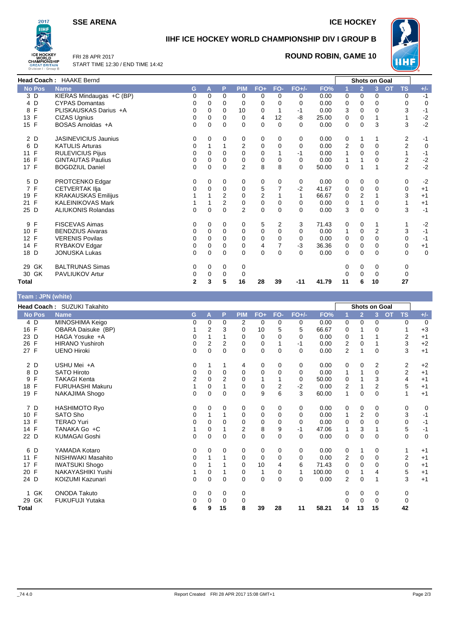**SSE ARENA ICE HOCKEY** 



# **IIHF ICE HOCKEY WORLD CHAMPIONSHIP DIV I GROUP B**



FRI 28 APR 2017 START TIME 12:30 / END TIME 14:42

### **ROUND ROBIN, GAME 10**

|               | <b>Head Coach: HAAKE Bernd</b> |          |             |             |                |                |                |          |       |                |                | <b>Shots on Goal</b> |           |                |             |
|---------------|--------------------------------|----------|-------------|-------------|----------------|----------------|----------------|----------|-------|----------------|----------------|----------------------|-----------|----------------|-------------|
| <b>No Pos</b> | <b>Name</b>                    | G        | A           | P           | <b>PIM</b>     | $FO+$          | FO-            | $FO+/-$  | FO%   |                | $\overline{2}$ | 3                    | <b>OT</b> | <b>TS</b>      | $+/-$       |
| 3D            | KIERAS Mindaugas +C (BP)       | 0        | $\Omega$    | 0           | 0              | $\Omega$       | 0              | 0        | 0.00  | 0              | $\Omega$       | $\Omega$             |           | $\Omega$       | $-1$        |
| 4 D           | <b>CYPAS Domantas</b>          |          | $\Omega$    | 0           | $\Omega$       | $\Omega$       | $\Omega$       | $\Omega$ | 0.00  | 0              | $\Omega$       | 0                    |           | $\Omega$       | 0           |
| F<br>8        | PLISKAUSKAS Darius +A          | 0        | $\Omega$    | $\Omega$    | 10             | $\Omega$       | 1              | $-1$     | 0.00  | 3              | $\Omega$       | 0                    |           | 3              | $-1$        |
| 13 F          | <b>CIZAS Ugnius</b>            | 0        | 0           | $\mathbf 0$ | 0              | 4              | 12             | -8       | 25.00 | 0              | 0              |                      |           |                | $-2$        |
| 15 F          | BOSAS Arnoldas +A              | 0        | $\mathbf 0$ | $\mathbf 0$ | $\Omega$       | $\Omega$       | $\mathbf 0$    | $\Omega$ | 0.00  | $\mathbf 0$    | $\Omega$       | 3                    |           | 3              | $-2$        |
| 2 D           | <b>JASINEVICIUS Jaunius</b>    | 0        | 0           | 0           | 0              | 0              | 0              | 0        | 0.00  | 0              |                |                      |           | 2              | $-1$        |
| 6 D           | <b>KATULIS Arturas</b>         | 0        |             | 1           | $\overline{2}$ | $\Omega$       | $\mathbf 0$    | $\Omega$ | 0.00  | $\overline{2}$ | $\Omega$       | $\Omega$             |           | $\overline{2}$ | 0           |
| 11 F          | <b>RULEVICIUS Pijus</b>        | 0        | 0           | 0           | 0              | $\Omega$       |                | $-1$     | 0.00  | 1              | $\Omega$       | 0                    |           |                | $-1$        |
| 16 F          | <b>GINTAUTAS Paulius</b>       | 0        | $\mathbf 0$ | $\mathbf 0$ | 0              | 0              | 0              | $\Omega$ | 0.00  | $\mathbf{1}$   |                | 0                    |           | 2              | $-2$        |
| 17 F          | <b>BOGDZIUL Daniel</b>         | 0        | $\Omega$    | $\mathbf 0$ | $\overline{2}$ | 8              | 8              | $\Omega$ | 50.00 | 0              | -1             |                      |           | $\overline{2}$ | $-2$        |
| 5 D           | PROTCENKO Edgar                | 0        | 0           | 0           | 0              | 0              | 0              | 0        | 0.00  | 0              | 0              | $\Omega$             |           | 0              | $-2$        |
| 7 F           | <b>CETVERTAK IIja</b>          |          | $\mathbf 0$ | $\mathbf 0$ | 0              | 5              | $\overline{7}$ | $-2$     | 41.67 | $\mathbf 0$    | $\mathbf 0$    | $\Omega$             |           | $\mathbf 0$    | $+1$        |
| 19 F          | <b>KRAKAUSKAS Emilijus</b>     |          |             | 2           | 0              | $\overline{2}$ |                |          | 66.67 | 0              | $\overline{2}$ |                      |           | 3              | $+1$        |
| 21 F          | <b>KALEINIKOVAS Mark</b>       |          |             | 2           | $\mathbf 0$    | $\Omega$       | $\Omega$       | $\Omega$ | 0.00  | 0              |                | $\Omega$             |           |                | $+1$        |
| 25 D          | <b>ALIUKONIS Rolandas</b>      | 0        | $\mathbf 0$ | $\mathbf 0$ | $\overline{2}$ | 0              | $\mathbf 0$    | $\Omega$ | 0.00  | 3              | $\mathbf 0$    | $\Omega$             |           | 3              | $-1$        |
| 9 F           | <b>FISCEVAS Aimas</b>          | 0        | 0           | 0           | 0              | 5              | $\overline{2}$ | 3        | 71.43 | 0              | 0              |                      |           |                | $-2$        |
| 10 F          | <b>BENDZIUS Aivaras</b>        | 0        | 0           | 0           | 0              | 0              | $\Omega$       | $\Omega$ | 0.00  | $\mathbf{1}$   | 0              | 2                    |           | 3              | $-1$        |
| 12 F          | <b>VERENIS Povilas</b>         | 0        | $\Omega$    | $\Omega$    | $\mathbf 0$    | $\Omega$       | $\mathbf 0$    | 0        | 0.00  | 0              | $\Omega$       | 0                    |           | $\Omega$       | $-1$        |
| 14 F          | RYBAKOV Edgar                  | 0        | 0           | 0           | 0              | 4              | 7              | $-3$     | 36.36 | 0              | 0              | 0                    |           | 0              | $+1$        |
| 18 D          | <b>JONUSKA Lukas</b>           | $\Omega$ | $\mathbf 0$ | $\mathbf 0$ | 0              | 0              | 0              | 0        | 0.00  | 0              | $\mathbf 0$    | $\mathbf 0$          |           | 0              | $\mathbf 0$ |
| 29 GK         | <b>BALTRUNAS Simas</b>         | 0        | 0           | 0           | 0              |                |                |          |       | 0              | 0              | 0                    |           | 0              |             |
| 30 GK         | PAVLIUKOV Artur                | 0        | $\mathbf 0$ | 0           | 0              |                |                |          |       | 0              | 0              | 0                    |           | 0              |             |

### **Total 2 3 5 16 28 39 -11 41.79 11 6 10 27**

**Team : JPN (white)**

| <b>Team: JPN (white)</b> |                             |          |             |             |                |       |          |          |        |                |                |          |           |           |       |
|--------------------------|-----------------------------|----------|-------------|-------------|----------------|-------|----------|----------|--------|----------------|----------------|----------|-----------|-----------|-------|
|                          | Head Coach: SUZUKI Takahito |          |             |             |                |       |          |          |        |                | Shots on Goal  |          |           |           |       |
| <b>No Pos</b>            | <b>Name</b>                 | G        | A           | P           | <b>PIM</b>     | $FO+$ | FO-      | $FO+/-$  | FO%    |                | $\overline{2}$ | 3        | <b>OT</b> | <b>TS</b> | $+/-$ |
| 4 D                      | MINOSHIMA Keigo             | 0        | $\Omega$    | 0           | 2              | 0     | 0        | 0        | 0.00   | 0              | $\Omega$       | 0        |           | 0         | 0     |
| 16 F                     | <b>OBARA Daisuke (BP)</b>   |          | 2           | 3           | 0              | 10    | 5        | 5        | 66.67  | 0              |                | 0        |           | 1         | $+3$  |
| 23 D                     | HAGA Yosuke +A              | 0        |             |             | 0              | 0     | 0        | 0        | 0.00   | 0              |                |          |           | 2         | $+1$  |
| 26 F                     | <b>HIRANO Yushiroh</b>      | 0        | 2           | 2           | 0              | 0     |          | -1       | 0.00   | $\overline{c}$ | 0              |          |           | 3         | $+2$  |
| 27 F                     | <b>UENO Hiroki</b>          | $\Omega$ | $\Omega$    | $\Omega$    | $\Omega$       | 0     | 0        | $\Omega$ | 0.00   | $\overline{2}$ |                | $\Omega$ |           | 3         | $+1$  |
| 2 D                      | USHU Mei +A                 | 0        |             | 1           | 4              | 0     | 0        | 0        | 0.00   | 0              | 0              | 2        |           | 2         | $+2$  |
| 8 D                      | <b>SATO Hiroto</b>          | 0        | $\mathbf 0$ | $\mathbf 0$ | $\mathbf 0$    | 0     | 0        | 0        | 0.00   | 1              |                | 0        |           | 2         | $+1$  |
| F<br>9                   | <b>TAKAGI Kenta</b>         | 2        | 0           | 2           | 0              |       |          | 0        | 50.00  | 0              |                | 3        |           | 4         | $+1$  |
| 18 F                     | <b>FURUHASHI Makuru</b>     |          | 0           |             | 0              | 0     | 2        | $-2$     | 0.00   | 2              |                | 2        |           | 5         | $+1$  |
| 19 F                     | NAKAJIMA Shogo              | 0        | 0           | $\mathbf 0$ | $\Omega$       | 9     | 6        | 3        | 60.00  | 1              | 0              | 0        |           | 1         | $+1$  |
| 7 D                      | <b>HASHIMOTO Ryo</b>        | 0        | 0           | $\mathbf 0$ | 0              | 0     | 0        | 0        | 0.00   | 0              | 0              | 0        |           | 0         | 0     |
| 10 F                     | SATO Sho                    | 0        |             | 1           | 0              | 0     | 0        | 0        | 0.00   | 1              | 2              | 0        |           | 3         | $-1$  |
| 13 F                     | <b>TERAO Yuri</b>           | 0        | 0           | 0           | 0              | 0     | 0        | 0        | 0.00   | 0              | $\mathbf 0$    | 0        |           | 0         | $-1$  |
| 14 F                     | TANAKA Go +C                |          | 0           |             | $\overline{2}$ | 8     | 9        | -1       | 47.06  | 1              | 3              |          |           | 5         | $-1$  |
| 22 D                     | <b>KUMAGAI Goshi</b>        | 0        | 0           | $\mathbf 0$ | $\Omega$       | 0     | 0        | $\Omega$ | 0.00   | 0              | 0              | 0        |           | 0         | 0     |
| 6 D                      | YAMADA Kotaro               | 0        | 0           | 0           | 0              | 0     | 0        | 0        | 0.00   | 0              | 1              | 0        |           | 1         | $+1$  |
| 11 F                     | NISHIWAKI Masahito          | 0        |             |             | $\Omega$       | 0     | 0        | 0        | 0.00   | 2              | 0              | 0        |           | 2         | $+1$  |
| F<br>17                  | <b>IWATSUKI Shogo</b>       | 0        |             |             | 0              | 10    | 4        | 6        | 71.43  | 0              | 0              | 0        |           | 0         | $+1$  |
| 20 F                     | NAKAYASHIKI Yushi           | 1        | 0           |             | 0              | 1     | 0        | 1        | 100.00 | 0              | 1              | 4        |           | 5         | $+1$  |
| 24 D                     | KOIZUMI Kazunari            | 0        | 0           | $\mathbf 0$ | $\Omega$       | 0     | $\Omega$ | 0        | 0.00   | $\overline{2}$ | $\mathbf 0$    | 1        |           | 3         | $+1$  |
| 1 GK                     | <b>ONODA Takuto</b>         | 0        | 0           | 0           | 0              |       |          |          |        | 0              | 0              | 0        |           | 0         |       |
| 29 GK                    | FUKUFUJI Yutaka             | 0        | 0           | $\Omega$    | 0              |       |          |          |        | 0              | 0              | 0        |           | 0         |       |
| Total                    |                             | 6        | 9           | 15          | 8              | 39    | 28       | 11       | 58.21  | 14             | 13             | 15       |           | 42        |       |